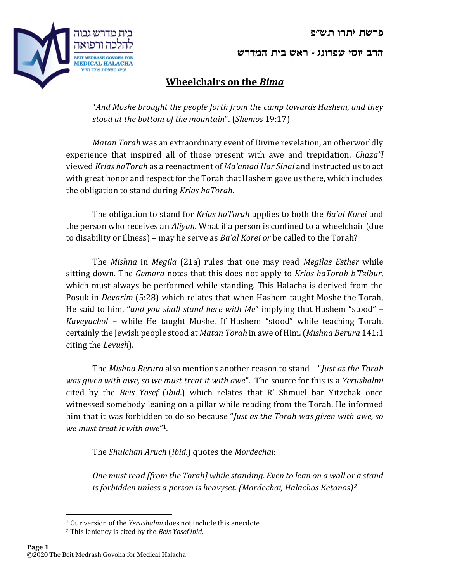פרשת יתרו תש"פ



## Wheelchairs on the Bima

"And Moshe brought the people forth from the camp towards Hashem, and they stood at the bottom of the mountain". (Shemos 19:17)

Matan Torah was an extraordinary event of Divine revelation, an otherworldly experience that inspired all of those present with awe and trepidation. Chaza"l viewed Krias haTorah as a reenactment of Ma'amad Har Sinai and instructed us to act with great honor and respect for the Torah that Hashem gave us there, which includes the obligation to stand during Krias haTorah.

The obligation to stand for Krias haTorah applies to both the Ba'al Korei and the person who receives an Aliyah. What if a person is confined to a wheelchair (due to disability or illness) – may he serve as Ba'al Korei or be called to the Torah?

The *Mishna* in *Megila* (21a) rules that one may read *Megilas Esther* while sitting down. The *Gemara* notes that this does not apply to *Krias haTorah b'Tzibur*, which must always be performed while standing. This Halacha is derived from the Posuk in Devarim (5:28) which relates that when Hashem taught Moshe the Torah, He said to him, "and you shall stand here with Me" implying that Hashem "stood" – Kaveyachol – while He taught Moshe. If Hashem "stood" while teaching Torah, certainly the Jewish people stood at Matan Torah in awe of Him. (Mishna Berura 141:1 citing the Levush).

The Mishna Berura also mentions another reason to stand – "Just as the Torah was given with awe, so we must treat it with awe". The source for this is a Yerushalmi cited by the Beis Yosef (ibid.) which relates that R' Shmuel bar Yitzchak once witnessed somebody leaning on a pillar while reading from the Torah. He informed him that it was forbidden to do so because "Just as the Torah was given with awe, so we must treat it with awe" 1.

The Shulchan Aruch (ibid.) quotes the Mordechai:

One must read [from the Torah] while standing. Even to lean on a wall or a stand is forbidden unless a person is heavyset. (Mordechai, Halachos Ketanos)<sup>2</sup>



<sup>&</sup>lt;sup>1</sup> Our version of the Yerushalmi does not include this anecdote

<sup>&</sup>lt;sup>2</sup> This leniency is cited by the Beis Yosef ibid.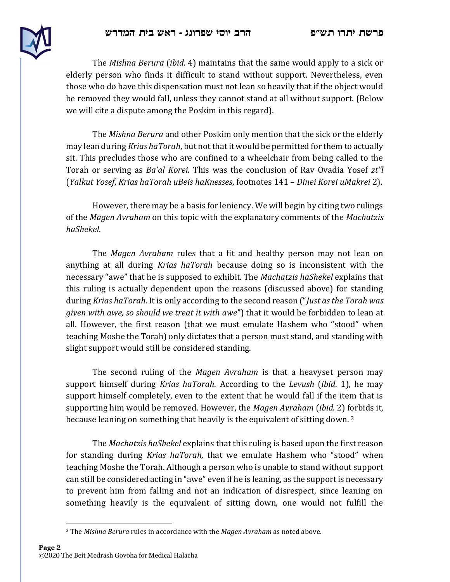

The Mishna Berura (ibid. 4) maintains that the same would apply to a sick or elderly person who finds it difficult to stand without support. Nevertheless, even those who do have this dispensation must not lean so heavily that if the object would be removed they would fall, unless they cannot stand at all without support. (Below we will cite a dispute among the Poskim in this regard).

The Mishna Berura and other Poskim only mention that the sick or the elderly may lean during *Krias haTorah*, but not that it would be permitted for them to actually sit. This precludes those who are confined to a wheelchair from being called to the Torah or serving as Ba'al Korei. This was the conclusion of Rav Ovadia Yosef zt"l (Yalkut Yosef, Krias haTorah uBeis haKnesses, footnotes 141 – Dinei Korei uMakrei 2).

However, there may be a basis for leniency. We will begin by citing two rulings of the Magen Avraham on this topic with the explanatory comments of the Machatzis haShekel.

The *Magen Avraham* rules that a fit and healthy person may not lean on anything at all during Krias haTorah because doing so is inconsistent with the necessary "awe" that he is supposed to exhibit. The *Machatzis haShekel* explains that this ruling is actually dependent upon the reasons (discussed above) for standing during Krias haTorah. It is only according to the second reason ("Just as the Torah was given with awe, so should we treat it with awe") that it would be forbidden to lean at all. However, the first reason (that we must emulate Hashem who "stood" when teaching Moshe the Torah) only dictates that a person must stand, and standing with slight support would still be considered standing.

The second ruling of the Magen Avraham is that a heavyset person may support himself during *Krias haTorah*. According to the *Levush* (*ibid.* 1), he may support himself completely, even to the extent that he would fall if the item that is supporting him would be removed. However, the Magen Avraham (ibid. 2) forbids it, because leaning on something that heavily is the equivalent of sitting down.<sup>3</sup>

The *Machatzis haShekel* explains that this ruling is based upon the first reason for standing during *Krias haTorah*, that we emulate Hashem who "stood" when teaching Moshe the Torah. Although a person who is unable to stand without support can still be considered acting in "awe" even if he is leaning, as the support is necessary to prevent him from falling and not an indication of disrespect, since leaning on something heavily is the equivalent of sitting down, one would not fulfill the

 $3$  The Mishna Berura rules in accordance with the Magen Avraham as noted above.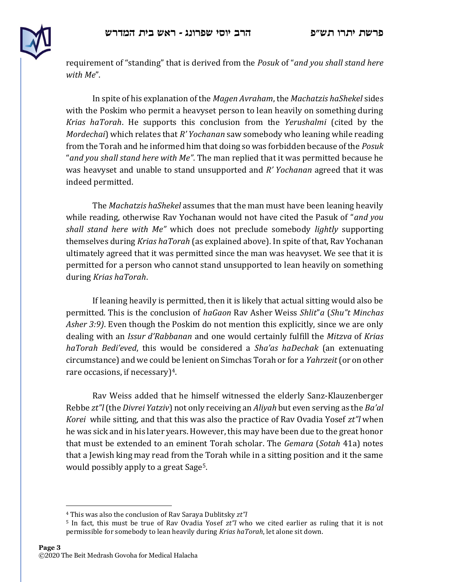

requirement of "standing" that is derived from the Posuk of "and you shall stand here with Me".

In spite of his explanation of the Magen Avraham, the Machatzis haShekel sides with the Poskim who permit a heavyset person to lean heavily on something during Krias haTorah. He supports this conclusion from the Yerushalmi (cited by the Mordechai) which relates that  $R'$  Yochanan saw somebody who leaning while reading from the Torah and he informed him that doing so was forbidden because of the *Posuk* "and you shall stand here with Me". The man replied that it was permitted because he was heavyset and unable to stand unsupported and  $R'$  Yochanan agreed that it was indeed permitted.

The Machatzis haShekel assumes that the man must have been leaning heavily while reading, otherwise Rav Yochanan would not have cited the Pasuk of "*and you* shall stand here with Me" which does not preclude somebody lightly supporting themselves during Krias haTorah (as explained above). In spite of that, Rav Yochanan ultimately agreed that it was permitted since the man was heavyset. We see that it is permitted for a person who cannot stand unsupported to lean heavily on something during Krias haTorah.

If leaning heavily is permitted, then it is likely that actual sitting would also be permitted. This is the conclusion of haGaon Ray Asher Weiss Shlit"a (Shu"t Minchas Asher 3:9). Even though the Poskim do not mention this explicitly, since we are only dealing with an *Issur d'Rabbanan* and one would certainly fulfill the *Mitzva* of Krias haTorah Bedi'eved, this would be considered a Sha'as haDechak (an extenuating circumstance) and we could be lenient on Simchas Torah or for a Yahrzeit (or on other rare occasions, if necessary $)^4$ .

Rav Weiss added that he himself witnessed the elderly Sanz-Klauzenberger Rebbe zt"I (the Divrei Yatziv) not only receiving an Aliyah but even serving as the Ba'al *Korei* while sitting, and that this was also the practice of Rav Ovadia Yosef  $zt''$  when he was sick and in his later years. However, this may have been due to the great honor that must be extended to an eminent Torah scholar. The Gemara (Sotah 41a) notes that a Jewish king may read from the Torah while in a sitting position and it the same would possibly apply to a great Sage5.

<sup>&</sup>lt;sup>4</sup> This was also the conclusion of Ray Saraya Dublitsky zt"

<sup>&</sup>lt;sup>5</sup> In fact, this must be true of Rav Ovadia Yosef  $zt''$  who we cited earlier as ruling that it is not permissible for somebody to lean heavily during Krias haTorah, let alone sit down.